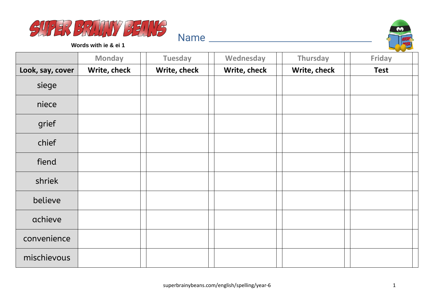



**Words with ie & ei 1**

|                  | <b>Monday</b> | <b>Tuesday</b> | Wednesday    | Thursday     | <b>Friday</b> |
|------------------|---------------|----------------|--------------|--------------|---------------|
| Look, say, cover | Write, check  | Write, check   | Write, check | Write, check | <b>Test</b>   |
| siege            |               |                |              |              |               |
| niece            |               |                |              |              |               |
| grief            |               |                |              |              |               |
| chief            |               |                |              |              |               |
| fiend            |               |                |              |              |               |
| shriek           |               |                |              |              |               |
| believe          |               |                |              |              |               |
| achieve          |               |                |              |              |               |
| convenience      |               |                |              |              |               |
| mischievous      |               |                |              |              |               |

Name and the set of the set of the set of the set of the set of the set of the set of the set of the set of the set of the set of the set of the set of the set of the set of the set of the set of the set of the set of the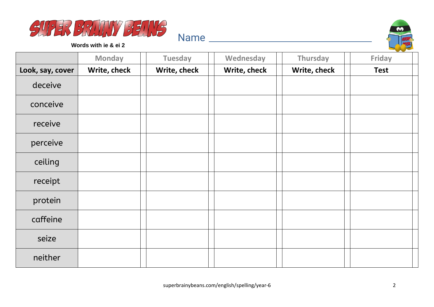



**Words with ie & ei 2**

|                  | <b>Monday</b> | <b>Tuesday</b> | Wednesday    | Thursday     | $\sim$<br><b>Friday</b> |
|------------------|---------------|----------------|--------------|--------------|-------------------------|
| Look, say, cover | Write, check  | Write, check   | Write, check | Write, check | <b>Test</b>             |
| deceive          |               |                |              |              |                         |
| conceive         |               |                |              |              |                         |
| receive          |               |                |              |              |                         |
| perceive         |               |                |              |              |                         |
| ceiling          |               |                |              |              |                         |
| receipt          |               |                |              |              |                         |
| protein          |               |                |              |              |                         |
| caffeine         |               |                |              |              |                         |
| seize            |               |                |              |              |                         |
| neither          |               |                |              |              |                         |

Name and the set of the set of the set of the set of the set of the set of the set of the set of the set of the set of the set of the set of the set of the set of the set of the set of the set of the set of the set of the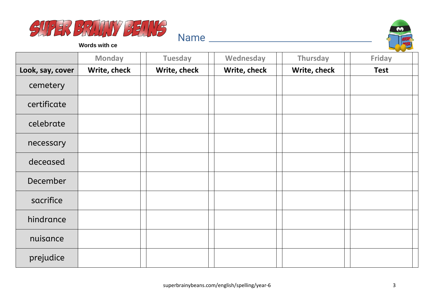



**Words with ce**

|                  | <b>Monday</b> | <b>Tuesday</b> | Wednesday    | Thursday     | Friday      |
|------------------|---------------|----------------|--------------|--------------|-------------|
| Look, say, cover | Write, check  | Write, check   | Write, check | Write, check | <b>Test</b> |
| cemetery         |               |                |              |              |             |
| certificate      |               |                |              |              |             |
| celebrate        |               |                |              |              |             |
| necessary        |               |                |              |              |             |
| deceased         |               |                |              |              |             |
| December         |               |                |              |              |             |
| sacrifice        |               |                |              |              |             |
| hindrance        |               |                |              |              |             |
| nuisance         |               |                |              |              |             |
| prejudice        |               |                |              |              |             |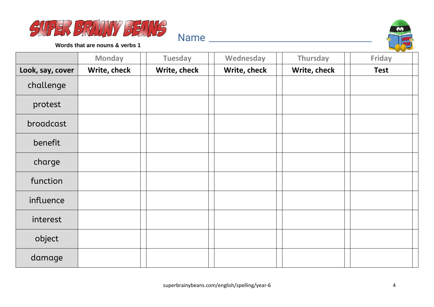



**Words that are nouns & verbs 1**

|                  | <b>Monday</b> | <b>Tuesday</b> | Wednesday    | Thursday     | Friday      |
|------------------|---------------|----------------|--------------|--------------|-------------|
| Look, say, cover | Write, check  | Write, check   | Write, check | Write, check | <b>Test</b> |
| challenge        |               |                |              |              |             |
| protest          |               |                |              |              |             |
| broadcast        |               |                |              |              |             |
| benefit          |               |                |              |              |             |
| charge           |               |                |              |              |             |
| function         |               |                |              |              |             |
| influence        |               |                |              |              |             |
| interest         |               |                |              |              |             |
| object           |               |                |              |              |             |
| damage           |               |                |              |              |             |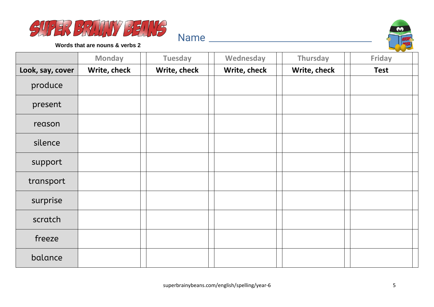



**Words that are nouns & verbs 2**

|                  | <b>Monday</b> | <b>Tuesday</b> | Wednesday    | Thursday     | Friday      |
|------------------|---------------|----------------|--------------|--------------|-------------|
| Look, say, cover | Write, check  | Write, check   | Write, check | Write, check | <b>Test</b> |
| produce          |               |                |              |              |             |
| present          |               |                |              |              |             |
| reason           |               |                |              |              |             |
| silence          |               |                |              |              |             |
| support          |               |                |              |              |             |
| transport        |               |                |              |              |             |
| surprise         |               |                |              |              |             |
| scratch          |               |                |              |              |             |
| freeze           |               |                |              |              |             |
| balance          |               |                |              |              |             |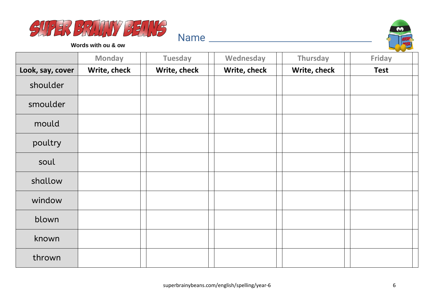



**Words with ou & ow**

|                  | <b>Monday</b> | <b>Tuesday</b> | Wednesday    | Thursday     | $\sim$<br><b>Friday</b> |
|------------------|---------------|----------------|--------------|--------------|-------------------------|
| Look, say, cover | Write, check  | Write, check   | Write, check | Write, check | <b>Test</b>             |
| shoulder         |               |                |              |              |                         |
| smoulder         |               |                |              |              |                         |
| mould            |               |                |              |              |                         |
| poultry          |               |                |              |              |                         |
| soul             |               |                |              |              |                         |
| shallow          |               |                |              |              |                         |
| window           |               |                |              |              |                         |
| blown            |               |                |              |              |                         |
| known            |               |                |              |              |                         |
| thrown           |               |                |              |              |                         |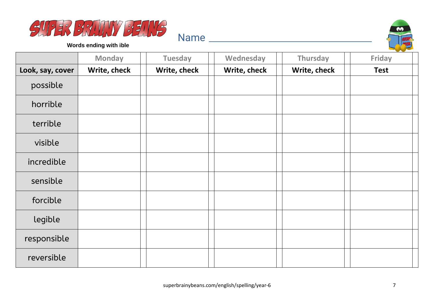



**Words ending with ible**

|                  | <b>Monday</b> | <b>Tuesday</b> | Wednesday    | Thursday     | Friday      |
|------------------|---------------|----------------|--------------|--------------|-------------|
| Look, say, cover | Write, check  | Write, check   | Write, check | Write, check | <b>Test</b> |
| possible         |               |                |              |              |             |
| horrible         |               |                |              |              |             |
| terrible         |               |                |              |              |             |
| visible          |               |                |              |              |             |
| incredible       |               |                |              |              |             |
| sensible         |               |                |              |              |             |
| forcible         |               |                |              |              |             |
| legible          |               |                |              |              |             |
| responsible      |               |                |              |              |             |
| reversible       |               |                |              |              |             |

Name and the second state of the second state of the second state  $\sim$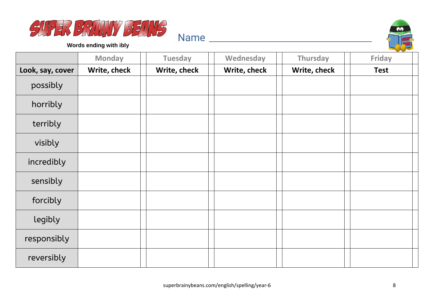



**Words ending with ibly**

|                  | <b>Monday</b> | <b>Tuesday</b> | Wednesday    | Thursday     | <b>Friday</b> |
|------------------|---------------|----------------|--------------|--------------|---------------|
| Look, say, cover | Write, check  | Write, check   | Write, check | Write, check | <b>Test</b>   |
| possibly         |               |                |              |              |               |
| horribly         |               |                |              |              |               |
| terribly         |               |                |              |              |               |
| visibly          |               |                |              |              |               |
| incredibly       |               |                |              |              |               |
| sensibly         |               |                |              |              |               |
| forcibly         |               |                |              |              |               |
| legibly          |               |                |              |              |               |
| responsibly      |               |                |              |              |               |
| reversibly       |               |                |              |              |               |

Name and the second state of the second state of the second state  $\sim$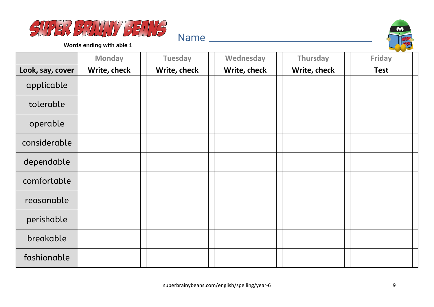



**Words ending with able 1**

|                  | <b>Monday</b> | <b>Tuesday</b> | Wednesday    | Thursday     | <b>Friday</b> |
|------------------|---------------|----------------|--------------|--------------|---------------|
| Look, say, cover | Write, check  | Write, check   | Write, check | Write, check | <b>Test</b>   |
| applicable       |               |                |              |              |               |
| tolerable        |               |                |              |              |               |
| operable         |               |                |              |              |               |
| considerable     |               |                |              |              |               |
| dependable       |               |                |              |              |               |
| comfortable      |               |                |              |              |               |
| reasonable       |               |                |              |              |               |
| perishable       |               |                |              |              |               |
| breakable        |               |                |              |              |               |
| fashionable      |               |                |              |              |               |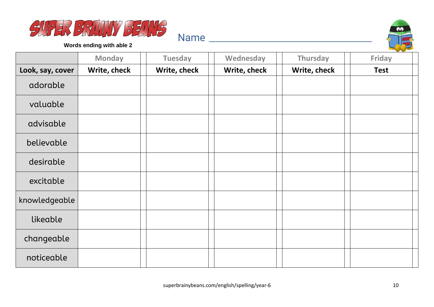



**Words ending with able 2**

|                  | <b>Monday</b> | <b>Tuesday</b> | Wednesday    | Thursday     | <b>Friday</b> |
|------------------|---------------|----------------|--------------|--------------|---------------|
| Look, say, cover | Write, check  | Write, check   | Write, check | Write, check | <b>Test</b>   |
| adorable         |               |                |              |              |               |
| valuable         |               |                |              |              |               |
| advisable        |               |                |              |              |               |
| believable       |               |                |              |              |               |
| desirable        |               |                |              |              |               |
| excitable        |               |                |              |              |               |
| knowledgeable    |               |                |              |              |               |
| likeable         |               |                |              |              |               |
| changeable       |               |                |              |              |               |
| noticeable       |               |                |              |              |               |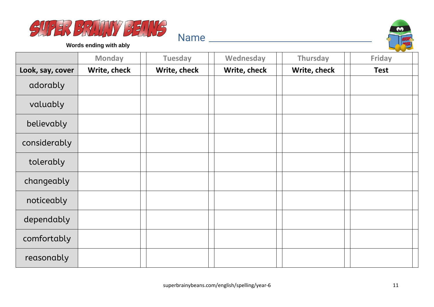



**Words ending with ably**

|                  | <b>Monday</b> | <b>Tuesday</b> | Wednesday    | Thursday     | <b>Friday</b> |
|------------------|---------------|----------------|--------------|--------------|---------------|
| Look, say, cover | Write, check  | Write, check   | Write, check | Write, check | <b>Test</b>   |
| adorably         |               |                |              |              |               |
| valuably         |               |                |              |              |               |
| believably       |               |                |              |              |               |
| considerably     |               |                |              |              |               |
| tolerably        |               |                |              |              |               |
| changeably       |               |                |              |              |               |
| noticeably       |               |                |              |              |               |
| dependably       |               |                |              |              |               |
| comfortably      |               |                |              |              |               |
| reasonably       |               |                |              |              |               |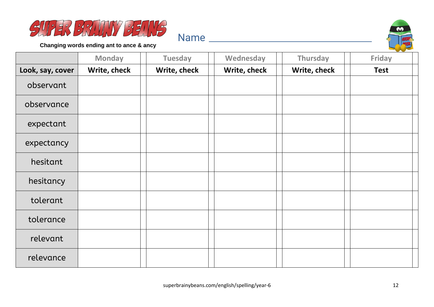



**Changing words ending ant to ance & ancy**

|                  | <b>Monday</b> | <b>Tuesday</b> | Wednesday    | Thursday     | Friday      |
|------------------|---------------|----------------|--------------|--------------|-------------|
| Look, say, cover | Write, check  | Write, check   | Write, check | Write, check | <b>Test</b> |
| observant        |               |                |              |              |             |
| observance       |               |                |              |              |             |
| expectant        |               |                |              |              |             |
| expectancy       |               |                |              |              |             |
| hesitant         |               |                |              |              |             |
| hesitancy        |               |                |              |              |             |
| tolerant         |               |                |              |              |             |
| tolerance        |               |                |              |              |             |
| relevant         |               |                |              |              |             |
| relevance        |               |                |              |              |             |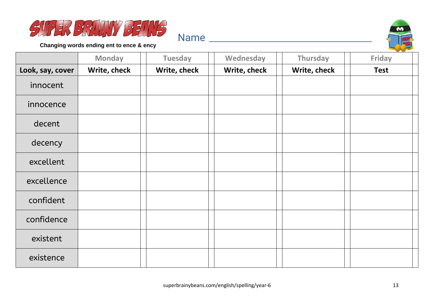



**Changing words ending ent to ence & ency**

|                  | <b>Monday</b> | <b>Tuesday</b> | Wednesday    | Thursday     | Friday      |
|------------------|---------------|----------------|--------------|--------------|-------------|
| Look, say, cover | Write, check  | Write, check   | Write, check | Write, check | <b>Test</b> |
| innocent         |               |                |              |              |             |
| innocence        |               |                |              |              |             |
| decent           |               |                |              |              |             |
| decency          |               |                |              |              |             |
| excellent        |               |                |              |              |             |
| excellence       |               |                |              |              |             |
| confident        |               |                |              |              |             |
| confidence       |               |                |              |              |             |
| existent         |               |                |              |              |             |
| existence        |               |                |              |              |             |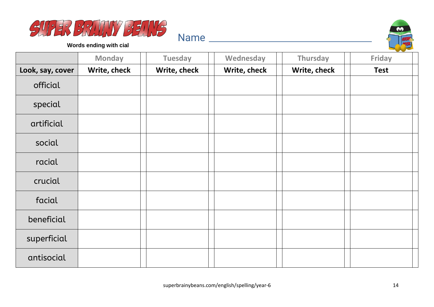



**Words ending with cial**

|                  | <b>Monday</b> | <b>Tuesday</b> | Wednesday    | Thursday     | <b>Friday</b> |
|------------------|---------------|----------------|--------------|--------------|---------------|
| Look, say, cover | Write, check  | Write, check   | Write, check | Write, check | <b>Test</b>   |
| official         |               |                |              |              |               |
| special          |               |                |              |              |               |
| artificial       |               |                |              |              |               |
| social           |               |                |              |              |               |
| racial           |               |                |              |              |               |
| crucial          |               |                |              |              |               |
| facial           |               |                |              |              |               |
| beneficial       |               |                |              |              |               |
| superficial      |               |                |              |              |               |
| antisocial       |               |                |              |              |               |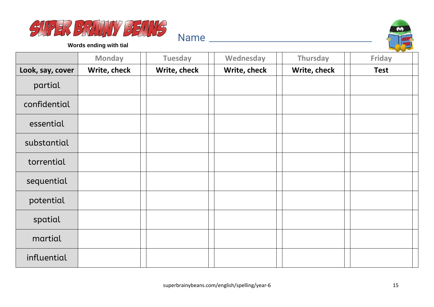



**Words ending with tial**

|                  | <b>Monday</b> | <b>Tuesday</b> | Wednesday    | Thursday     | Friday      |
|------------------|---------------|----------------|--------------|--------------|-------------|
| Look, say, cover | Write, check  | Write, check   | Write, check | Write, check | <b>Test</b> |
| partial          |               |                |              |              |             |
| confidential     |               |                |              |              |             |
| essential        |               |                |              |              |             |
| substantial      |               |                |              |              |             |
| torrential       |               |                |              |              |             |
| sequential       |               |                |              |              |             |
| potential        |               |                |              |              |             |
| spatial          |               |                |              |              |             |
| martial          |               |                |              |              |             |
| influential      |               |                |              |              |             |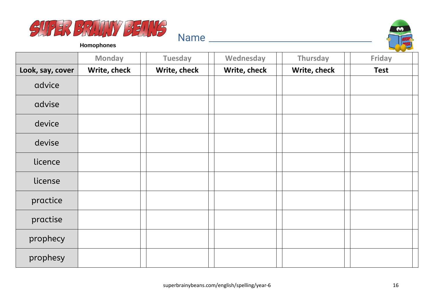



**Homophones**

|                  | <b>Monday</b> | <b>Tuesday</b> | Wednesday    | Thursday     | Friday      |
|------------------|---------------|----------------|--------------|--------------|-------------|
| Look, say, cover | Write, check  | Write, check   | Write, check | Write, check | <b>Test</b> |
| advice           |               |                |              |              |             |
| advise           |               |                |              |              |             |
| device           |               |                |              |              |             |
| devise           |               |                |              |              |             |
| licence          |               |                |              |              |             |
| license          |               |                |              |              |             |
| practice         |               |                |              |              |             |
| practise         |               |                |              |              |             |
| prophecy         |               |                |              |              |             |
| prophesy         |               |                |              |              |             |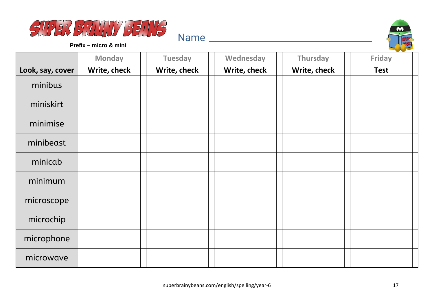



**Prefix – micro & mini**

|                  | <b>Monday</b> | <b>Tuesday</b> | Wednesday    | <b>Thursday</b> | <b>Friday</b> |
|------------------|---------------|----------------|--------------|-----------------|---------------|
| Look, say, cover | Write, check  | Write, check   | Write, check | Write, check    | <b>Test</b>   |
| minibus          |               |                |              |                 |               |
| miniskirt        |               |                |              |                 |               |
| minimise         |               |                |              |                 |               |
| minibeast        |               |                |              |                 |               |
| minicab          |               |                |              |                 |               |
| minimum          |               |                |              |                 |               |
| microscope       |               |                |              |                 |               |
| microchip        |               |                |              |                 |               |
| microphone       |               |                |              |                 |               |
| microwave        |               |                |              |                 |               |

Name and the set of the set of the set of the set of the set of the set of the set of the set of the set of the set of the set of the set of the set of the set of the set of the set of the set of the set of the set of the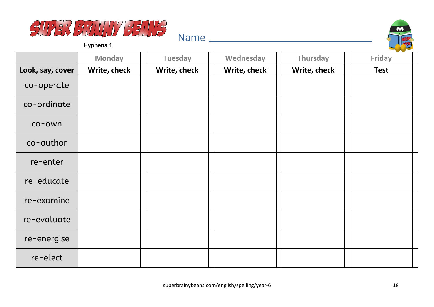



**Hyphens 1**

|                  | <b>Monday</b> | <b>Tuesday</b> | Wednesday    | Thursday     | <b>Friday</b> |
|------------------|---------------|----------------|--------------|--------------|---------------|
| Look, say, cover | Write, check  | Write, check   | Write, check | Write, check | <b>Test</b>   |
| co-operate       |               |                |              |              |               |
| co-ordinate      |               |                |              |              |               |
| co-own           |               |                |              |              |               |
| co-author        |               |                |              |              |               |
| re-enter         |               |                |              |              |               |
| re-educate       |               |                |              |              |               |
| re-examine       |               |                |              |              |               |
| re-evaluate      |               |                |              |              |               |
| re-energise      |               |                |              |              |               |
| re-elect         |               |                |              |              |               |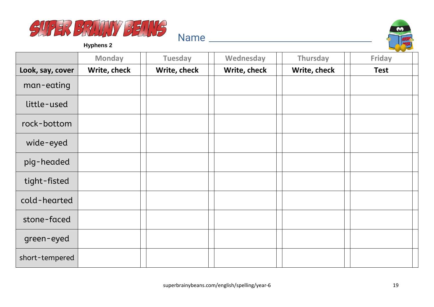



**Hyphens 2**

|                  | <b>Monday</b> | <b>Tuesday</b> | Wednesday    | Thursday     | Friday      |
|------------------|---------------|----------------|--------------|--------------|-------------|
| Look, say, cover | Write, check  | Write, check   | Write, check | Write, check | <b>Test</b> |
| man-eating       |               |                |              |              |             |
| little-used      |               |                |              |              |             |
| rock-bottom      |               |                |              |              |             |
| wide-eyed        |               |                |              |              |             |
| pig-headed       |               |                |              |              |             |
| tight-fisted     |               |                |              |              |             |
| cold-hearted     |               |                |              |              |             |
| stone-faced      |               |                |              |              |             |
| green-eyed       |               |                |              |              |             |
| short-tempered   |               |                |              |              |             |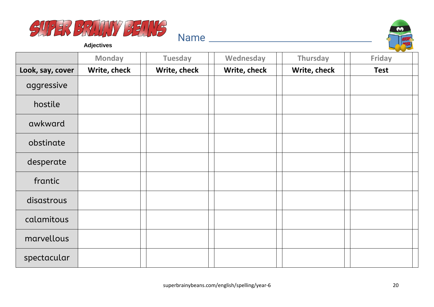



**Adjectives**

|                  | <b>Monday</b> | <b>Tuesday</b> | Wednesday    | Thursday     | <b>Friday</b> |
|------------------|---------------|----------------|--------------|--------------|---------------|
| Look, say, cover | Write, check  | Write, check   | Write, check | Write, check | <b>Test</b>   |
| aggressive       |               |                |              |              |               |
| hostile          |               |                |              |              |               |
| awkward          |               |                |              |              |               |
| obstinate        |               |                |              |              |               |
| desperate        |               |                |              |              |               |
| frantic          |               |                |              |              |               |
| disastrous       |               |                |              |              |               |
| calamitous       |               |                |              |              |               |
| marvellous       |               |                |              |              |               |
| spectacular      |               |                |              |              |               |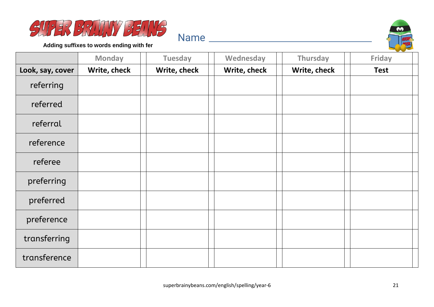



**Adding suffixes to words ending with fer**

|                  | <b>Monday</b> | <b>Tuesday</b> | Wednesday    | Thursday     | Friday      |
|------------------|---------------|----------------|--------------|--------------|-------------|
| Look, say, cover | Write, check  | Write, check   | Write, check | Write, check | <b>Test</b> |
| referring        |               |                |              |              |             |
| referred         |               |                |              |              |             |
| referral         |               |                |              |              |             |
| reference        |               |                |              |              |             |
| referee          |               |                |              |              |             |
| preferring       |               |                |              |              |             |
| preferred        |               |                |              |              |             |
| preference       |               |                |              |              |             |
| transferring     |               |                |              |              |             |
| transference     |               |                |              |              |             |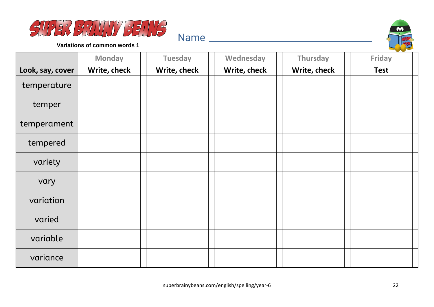



|                  | <b>Monday</b> | <b>Tuesday</b> | Wednesday    | Thursday     | Friday      |
|------------------|---------------|----------------|--------------|--------------|-------------|
| Look, say, cover | Write, check  | Write, check   | Write, check | Write, check | <b>Test</b> |
| temperature      |               |                |              |              |             |
| temper           |               |                |              |              |             |
| temperament      |               |                |              |              |             |
| tempered         |               |                |              |              |             |
| variety          |               |                |              |              |             |
| vary             |               |                |              |              |             |
| variation        |               |                |              |              |             |
| varied           |               |                |              |              |             |
| variable         |               |                |              |              |             |
| variance         |               |                |              |              |             |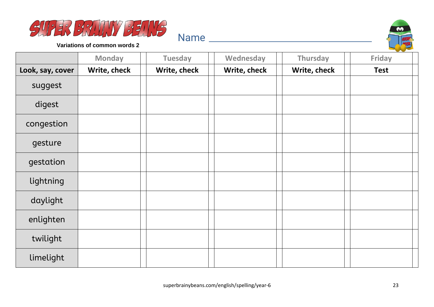



|                  | <b>Monday</b> | <b>Tuesday</b> | Wednesday    | Thursday     | Friday      |
|------------------|---------------|----------------|--------------|--------------|-------------|
| Look, say, cover | Write, check  | Write, check   | Write, check | Write, check | <b>Test</b> |
| suggest          |               |                |              |              |             |
| digest           |               |                |              |              |             |
| congestion       |               |                |              |              |             |
| gesture          |               |                |              |              |             |
| gestation        |               |                |              |              |             |
| lightning        |               |                |              |              |             |
| daylight         |               |                |              |              |             |
| enlighten        |               |                |              |              |             |
| twilight         |               |                |              |              |             |
| limelight        |               |                |              |              |             |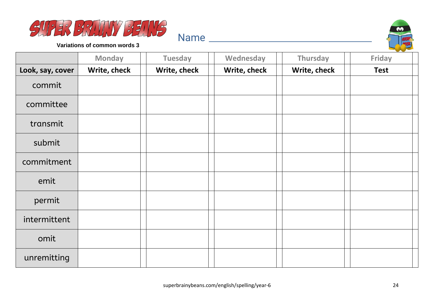



|                  | <b>Monday</b> | <b>Tuesday</b> | Wednesday    | Thursday     | Friday      |
|------------------|---------------|----------------|--------------|--------------|-------------|
| Look, say, cover | Write, check  | Write, check   | Write, check | Write, check | <b>Test</b> |
| commit           |               |                |              |              |             |
| committee        |               |                |              |              |             |
| transmit         |               |                |              |              |             |
| submit           |               |                |              |              |             |
| commitment       |               |                |              |              |             |
| emit             |               |                |              |              |             |
| permit           |               |                |              |              |             |
| intermittent     |               |                |              |              |             |
| omit             |               |                |              |              |             |
| unremitting      |               |                |              |              |             |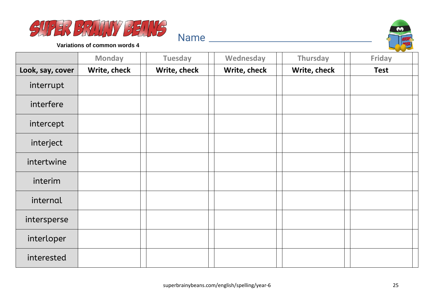



|                  | <b>Monday</b> | <b>Tuesday</b> | Wednesday    | Thursday     | Friday      |
|------------------|---------------|----------------|--------------|--------------|-------------|
| Look, say, cover | Write, check  | Write, check   | Write, check | Write, check | <b>Test</b> |
| interrupt        |               |                |              |              |             |
| interfere        |               |                |              |              |             |
| intercept        |               |                |              |              |             |
| interject        |               |                |              |              |             |
| intertwine       |               |                |              |              |             |
| interim          |               |                |              |              |             |
| internal         |               |                |              |              |             |
| intersperse      |               |                |              |              |             |
| interloper       |               |                |              |              |             |
| interested       |               |                |              |              |             |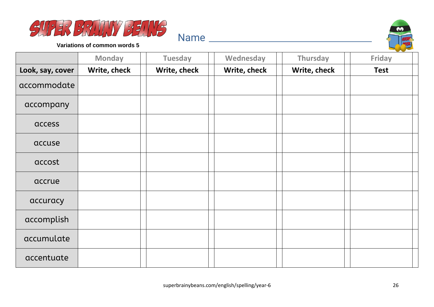



|                  | <b>Monday</b> | <b>Tuesday</b> | Wednesday    | Thursday     | Friday      |
|------------------|---------------|----------------|--------------|--------------|-------------|
| Look, say, cover | Write, check  | Write, check   | Write, check | Write, check | <b>Test</b> |
| accommodate      |               |                |              |              |             |
| accompany        |               |                |              |              |             |
| access           |               |                |              |              |             |
| accuse           |               |                |              |              |             |
| accost           |               |                |              |              |             |
| accrue           |               |                |              |              |             |
| accuracy         |               |                |              |              |             |
| accomplish       |               |                |              |              |             |
| accumulate       |               |                |              |              |             |
| accentuate       |               |                |              |              |             |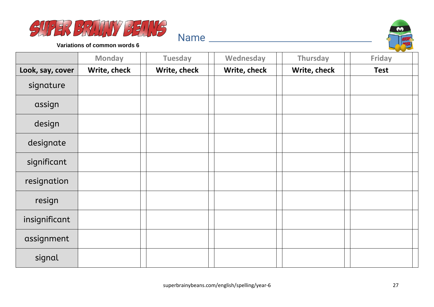



|                  | <b>Monday</b> | <b>Tuesday</b> | Wednesday    | Thursday     | Friday      |
|------------------|---------------|----------------|--------------|--------------|-------------|
| Look, say, cover | Write, check  | Write, check   | Write, check | Write, check | <b>Test</b> |
| signature        |               |                |              |              |             |
| assign           |               |                |              |              |             |
| design           |               |                |              |              |             |
| designate        |               |                |              |              |             |
| significant      |               |                |              |              |             |
| resignation      |               |                |              |              |             |
| resign           |               |                |              |              |             |
| insignificant    |               |                |              |              |             |
| assignment       |               |                |              |              |             |
| signal           |               |                |              |              |             |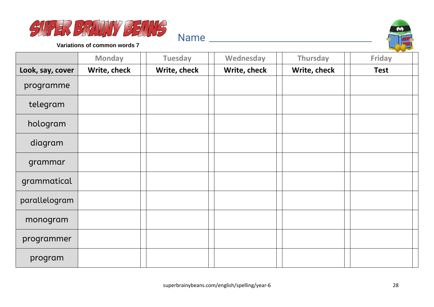



|                  | <b>Monday</b> | <b>Tuesday</b> | Wednesday    | Thursday     | Friday      |
|------------------|---------------|----------------|--------------|--------------|-------------|
| Look, say, cover | Write, check  | Write, check   | Write, check | Write, check | <b>Test</b> |
| programme        |               |                |              |              |             |
| telegram         |               |                |              |              |             |
| hologram         |               |                |              |              |             |
| diagram          |               |                |              |              |             |
| grammar          |               |                |              |              |             |
| grammatical      |               |                |              |              |             |
| parallelogram    |               |                |              |              |             |
| monogram         |               |                |              |              |             |
| programmer       |               |                |              |              |             |
| program          |               |                |              |              |             |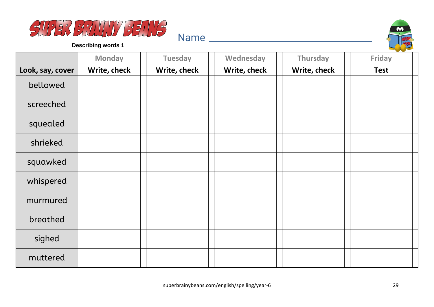



|                  | <b>Monday</b> | <b>Tuesday</b> | Wednesday    | Thursday     | <b>Friday</b> |
|------------------|---------------|----------------|--------------|--------------|---------------|
| Look, say, cover | Write, check  | Write, check   | Write, check | Write, check | <b>Test</b>   |
| bellowed         |               |                |              |              |               |
| screeched        |               |                |              |              |               |
| squealed         |               |                |              |              |               |
| shrieked         |               |                |              |              |               |
| squawked         |               |                |              |              |               |
| whispered        |               |                |              |              |               |
| murmured         |               |                |              |              |               |
| breathed         |               |                |              |              |               |
| sighed           |               |                |              |              |               |
| muttered         |               |                |              |              |               |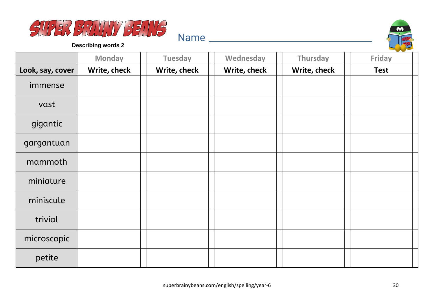



|                  | <b>Monday</b> | <b>Tuesday</b> | Wednesday    | Thursday     | <b>Friday</b> |
|------------------|---------------|----------------|--------------|--------------|---------------|
| Look, say, cover | Write, check  | Write, check   | Write, check | Write, check | <b>Test</b>   |
| immense          |               |                |              |              |               |
| vast             |               |                |              |              |               |
| gigantic         |               |                |              |              |               |
| gargantuan       |               |                |              |              |               |
| mammoth          |               |                |              |              |               |
| miniature        |               |                |              |              |               |
| miniscule        |               |                |              |              |               |
| trivial          |               |                |              |              |               |
| microscopic      |               |                |              |              |               |
| petite           |               |                |              |              |               |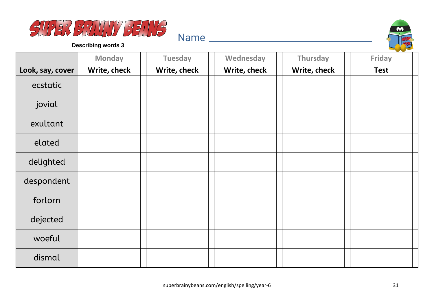



|                  | <b>Monday</b> | <b>Tuesday</b> | Wednesday    | Thursday     | <b>Friday</b> |
|------------------|---------------|----------------|--------------|--------------|---------------|
| Look, say, cover | Write, check  | Write, check   | Write, check | Write, check | <b>Test</b>   |
| ecstatic         |               |                |              |              |               |
| jovial           |               |                |              |              |               |
| exultant         |               |                |              |              |               |
| elated           |               |                |              |              |               |
| delighted        |               |                |              |              |               |
| despondent       |               |                |              |              |               |
| forlorn          |               |                |              |              |               |
| dejected         |               |                |              |              |               |
| woeful           |               |                |              |              |               |
| dismal           |               |                |              |              |               |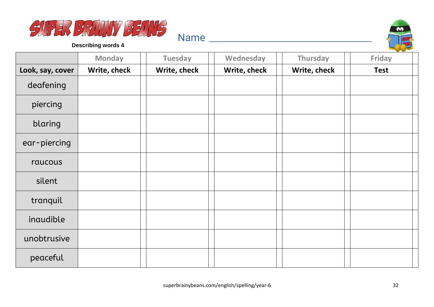



|                  | <b>Monday</b> | <b>Tuesday</b> | Wednesday    | Thursday     | <b>Friday</b> |
|------------------|---------------|----------------|--------------|--------------|---------------|
| Look, say, cover | Write, check  | Write, check   | Write, check | Write, check | <b>Test</b>   |
| deafening        |               |                |              |              |               |
| piercing         |               |                |              |              |               |
| blaring          |               |                |              |              |               |
| ear-piercing     |               |                |              |              |               |
| raucous          |               |                |              |              |               |
| silent           |               |                |              |              |               |
| tranquil         |               |                |              |              |               |
| inaudible        |               |                |              |              |               |
| unobtrusive      |               |                |              |              |               |
| peaceful         |               |                |              |              |               |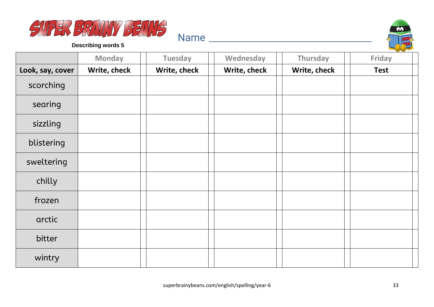



|                  | <b>Monday</b> | <b>Tuesday</b> | Wednesday    | Thursday     | <b>Friday</b> |
|------------------|---------------|----------------|--------------|--------------|---------------|
| Look, say, cover | Write, check  | Write, check   | Write, check | Write, check | <b>Test</b>   |
| scorching        |               |                |              |              |               |
| searing          |               |                |              |              |               |
| sizzling         |               |                |              |              |               |
| blistering       |               |                |              |              |               |
| sweltering       |               |                |              |              |               |
| chilly           |               |                |              |              |               |
| frozen           |               |                |              |              |               |
| arctic           |               |                |              |              |               |
| bitter           |               |                |              |              |               |
| wintry           |               |                |              |              |               |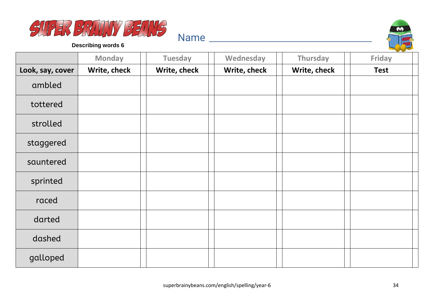



|                  | <b>Monday</b> | <b>Tuesday</b> | Wednesday    | Thursday     | Friday      |
|------------------|---------------|----------------|--------------|--------------|-------------|
| Look, say, cover | Write, check  | Write, check   | Write, check | Write, check | <b>Test</b> |
| ambled           |               |                |              |              |             |
| tottered         |               |                |              |              |             |
| strolled         |               |                |              |              |             |
| staggered        |               |                |              |              |             |
| sauntered        |               |                |              |              |             |
| sprinted         |               |                |              |              |             |
| raced            |               |                |              |              |             |
| darted           |               |                |              |              |             |
| dashed           |               |                |              |              |             |
| galloped         |               |                |              |              |             |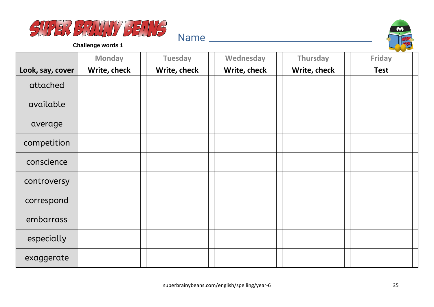



**Challenge words 1**

|                  | <b>Monday</b> | <b>Tuesday</b> | Wednesday    | Thursday     | and the state of the con-<br>Friday |
|------------------|---------------|----------------|--------------|--------------|-------------------------------------|
| Look, say, cover | Write, check  | Write, check   | Write, check | Write, check | <b>Test</b>                         |
| attached         |               |                |              |              |                                     |
| available        |               |                |              |              |                                     |
| average          |               |                |              |              |                                     |
| competition      |               |                |              |              |                                     |
| conscience       |               |                |              |              |                                     |
| controversy      |               |                |              |              |                                     |
| correspond       |               |                |              |              |                                     |
| embarrass        |               |                |              |              |                                     |
| especially       |               |                |              |              |                                     |
| exaggerate       |               |                |              |              |                                     |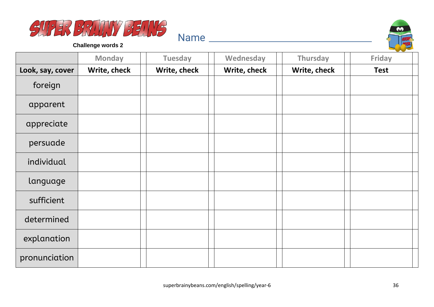



**Challenge words 2**

|                  | <b>Monday</b> | <b>Tuesday</b> | Wednesday    | <b>Thursday</b> | and the state of the con-<br><b>Friday</b> |
|------------------|---------------|----------------|--------------|-----------------|--------------------------------------------|
| Look, say, cover | Write, check  | Write, check   | Write, check | Write, check    | <b>Test</b>                                |
| foreign          |               |                |              |                 |                                            |
| apparent         |               |                |              |                 |                                            |
| appreciate       |               |                |              |                 |                                            |
| persuade         |               |                |              |                 |                                            |
| individual       |               |                |              |                 |                                            |
| language         |               |                |              |                 |                                            |
| sufficient       |               |                |              |                 |                                            |
| determined       |               |                |              |                 |                                            |
| explanation      |               |                |              |                 |                                            |
| pronunciation    |               |                |              |                 |                                            |